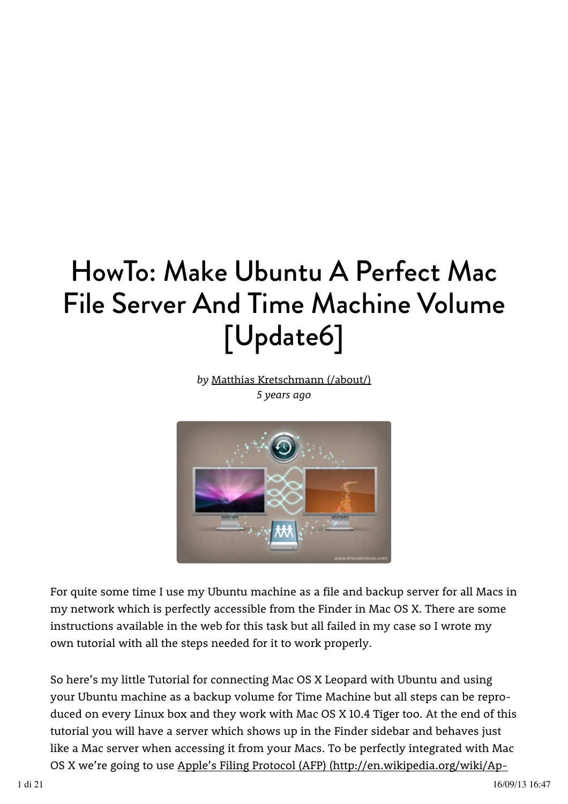# HowTo: Make Ubuntu A Perfect Mac File Server And Time Machine Volume [Update6]

*by*  Matthias Kretschmann (/about/) *5 years ago*



For quite some time I use my Ubuntu machine as a file and backup server for all Macs in my network which is perfectly accessible from the Finder in Mac OS X. There are some instructions available in the web for this task but all failed in my case so I wrote my own tutorial with all the steps needed for it to work properly.

So here's my little Tutorial for connecting Mac OS X Leopard with Ubuntu and using your Ubuntu machine as a backup volume for Time Machine but all steps can be reproduced on every Linux box and they work with Mac OS X 10.4 Tiger too. At the end of this tutorial you will have a server which shows up in the Finder sidebar and behaves just like a Mac server when accessing it from your Macs. To be perfectly integrated with Mac OS X we're going to use Apple's Filing Protocol (AFP) (http://en.wikipedia.org/wiki/Ap-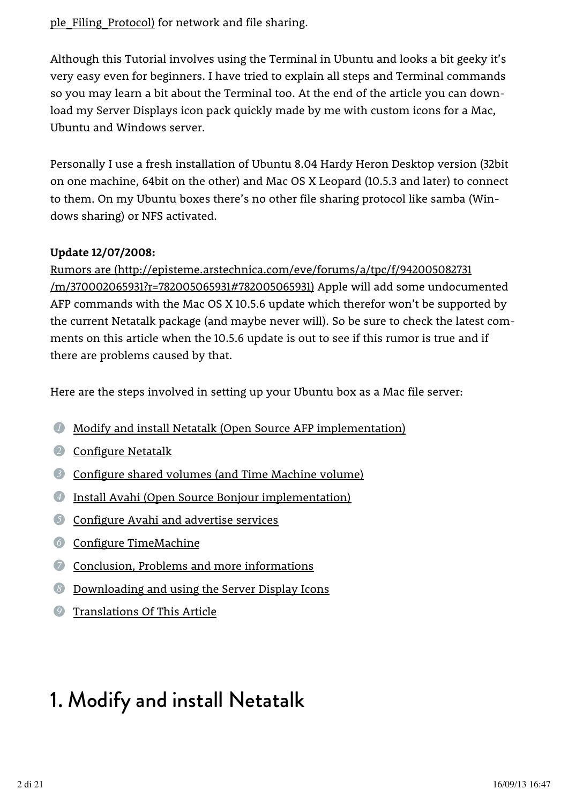#### ple Filing Protocol) for network and file sharing.

Although this Tutorial involves using the Terminal in Ubuntu and looks a bit geeky it's very easy even for beginners. I have tried to explain all steps and Terminal commands so you may learn a bit about the Terminal too. At the end of the article you can download my Server Displays icon pack quickly made by me with custom icons for a Mac, Ubuntu and Windows server.

Personally I use a fresh installation of Ubuntu 8.04 Hardy Heron Desktop version (32bit on one machine, 64bit on the other) and Mac OS X Leopard (10.5.3 and later) to connect to them. On my Ubuntu boxes there's no other file sharing protocol like samba (Windows sharing) or NFS activated.

#### **Update 12/07/2008:**

<u>/m/370002065931?r=782005065931#782005065931</u>) Apple will add some undocumented AFP commands with the Mac OS X 10.5.6 update which therefor won't be supported by the current Netatalk package (and maybe never will). So be sure to check the latest comments on this article when the 10.5.6 update is out to see if this rumor is true and if there are problems caused by that. Rumors are (http://episteme.arstechnica.com/eve/forums/a/tpc/f/942005082731

Here are the steps involved in setting up your Ubuntu box as a Mac file server:

- *1* Modify and install Netatalk (Open Source AFP implementation)
- *2* Configure Netatalk
- *3* Configure shared volumes (and Time Machine volume)
- *4* Install Avahi (Open Source Bonjour implementation)
- *5* Configure Avahi and advertise services
- *6* Configure TimeMachine
- *7* Conclusion, Problems and more informations
- *8* Downloading and using the Server Display Icons
- *9* Translations Of This Article

# 1. Modify and install Netatalk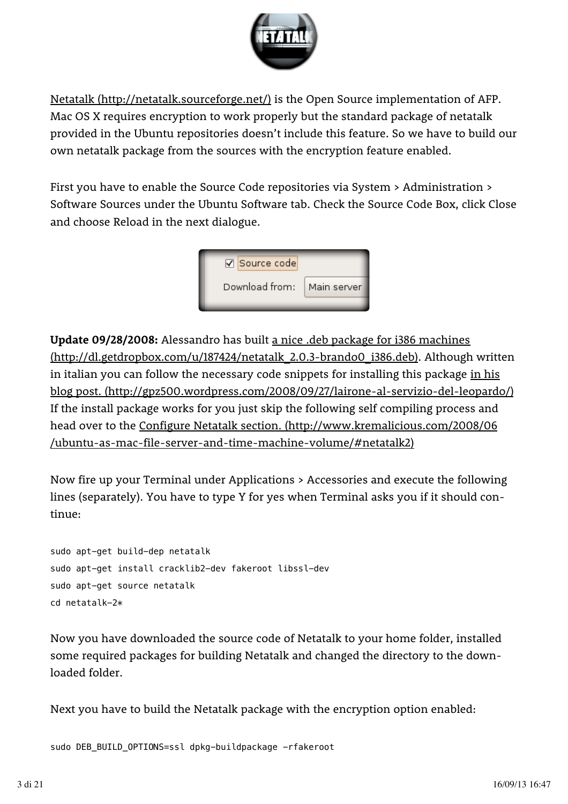

Netatalk (http://netatalk.sourceforge.net/) is the Open Source implementation of AFP. Mac OS X requires encryption to work properly but the standard package of netatalk provided in the Ubuntu repositories doesn't include this feature. So we have to build our own netatalk package from the sources with the encryption feature enabled.

First you have to enable the Source Code repositories via System > Administration > Software Sources under the Ubuntu Software tab. Check the Source Code Box, click Close and choose Reload in the next dialogue.



**Update 09/28/2008:** Alessandro has built a nice .deb package for i386 machines (http://dl.getdropbox.com/u/187424/netatalk\_2.0.3-brando0\_i386.deb). Although written in italian you can follow the necessary code snippets for installing this package <u>in his</u> If the install package works for you just skip the following self compiling process and head over to the Configure Netatalk section. (http://www.kremalicious.com/2008/06 blog post. (http://gpz500.wordpress.com/2008/09/27/lairone-al-servizio-del-leopardo/) /ubuntu-as-mac-file-server-and-time-machine-volume/#netatalk2)

Now fire up your Terminal under Applications > Accessories and execute the following lines (separately). You have to type Y for yes when Terminal asks you if it should continue:

sudo apt-get build-dep netatalk sudo apt-get install cracklib2-dev fakeroot libssl-dev sudo apt-get source netatalk cd netatalk-2\*

Now you have downloaded the source code of Netatalk to your home folder, installed some required packages for building Netatalk and changed the directory to the downloaded folder.

Next you have to build the Netatalk package with the encryption option enabled:

sudo DEB\_BUILD\_OPTIONS=ssl dpkg-buildpackage -rfakeroot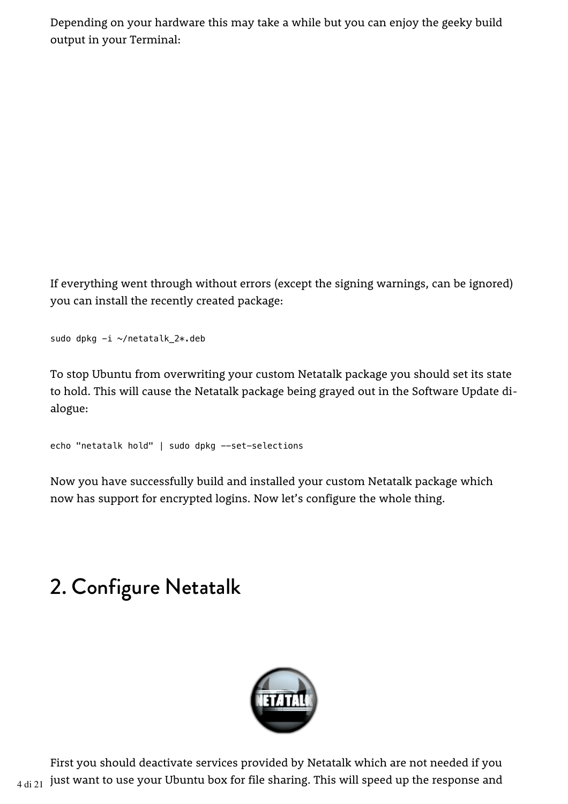Depending on your hardware this may take a while but you can enjoy the geeky build output in your Terminal:

If everything went through without errors (except the signing warnings, can be ignored) you can install the recently created package:

sudo dpkg -i ~/netatalk\_2\*.deb

To stop Ubuntu from overwriting your custom Netatalk package you should set its state to hold. This will cause the Netatalk package being grayed out in the Software Update dialogue:

```
echo "netatalk hold" | sudo dpkg --set-selections
```
Now you have successfully build and installed your custom Netatalk package which now has support for encrypted logins. Now let's configure the whole thing.

# 2. Configure Netatalk



First you should deactivate services provided by Netatalk which are not needed if you  $4$  di 21 just want to use your Ubuntu box for file sharing. This will speed up the response and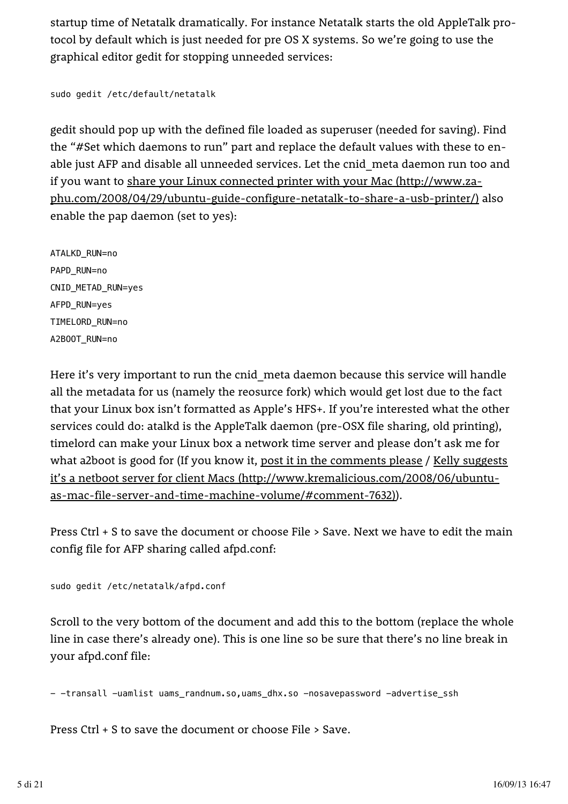startup time of Netatalk dramatically. For instance Netatalk starts the old AppleTalk protocol by default which is just needed for pre OS X systems. So we're going to use the graphical editor gedit for stopping unneeded services:

```
sudo gedit /etc/default/netatalk
```
gedit should pop up with the defined file loaded as superuser (needed for saving). Find the "#Set which daemons to run" part and replace the default values with these to enable just AFP and disable all unneeded services. Let the cnid\_meta daemon run too and if you want to <u>share your Linux connected printer with your Mac (http://www.za-</u> <u>phu.com/2008/04/29/ubuntu-guide-configure-netatalk-to-share-a-usb-printer/)</u> also enable the pap daemon (set to yes):

ATALKD\_RUN=no PAPD\_RUN=no CNID\_METAD\_RUN=yes AFPD\_RUN=yes TIMELORD\_RUN=no A2BOOT\_RUN=no

Here it's very important to run the cnid meta daemon because this service will handle all the metadata for us (namely the reosurce fork) which would get lost due to the fact that your Linux box isn't formatted as Apple's HFS+. If you're interested what the other services could do: atalkd is the AppleTalk daemon (pre-OSX file sharing, old printing), timelord can make your Linux box a network time server and please don't ask me for what a2boot is good for (If you know it, <u>post it in the comments please</u> / <u>Kelly suggests</u> ). as-mac-file-server-and-time-machine-volume/#comment-7632) it's a netboot server for client Macs (http://www.kremalicious.com/2008/06/ubuntu-

Press Ctrl + S to save the document or choose File > Save. Next we have to edit the main config file for AFP sharing called afpd.conf:

```
sudo gedit /etc/netatalk/afpd.conf
```
Scroll to the very bottom of the document and add this to the bottom (replace the whole line in case there's already one). This is one line so be sure that there's no line break in your afpd.conf file:

- -transall -uamlist uams\_randnum.so,uams\_dhx.so -nosavepassword -advertise\_ssh

Press Ctrl + S to save the document or choose File > Save.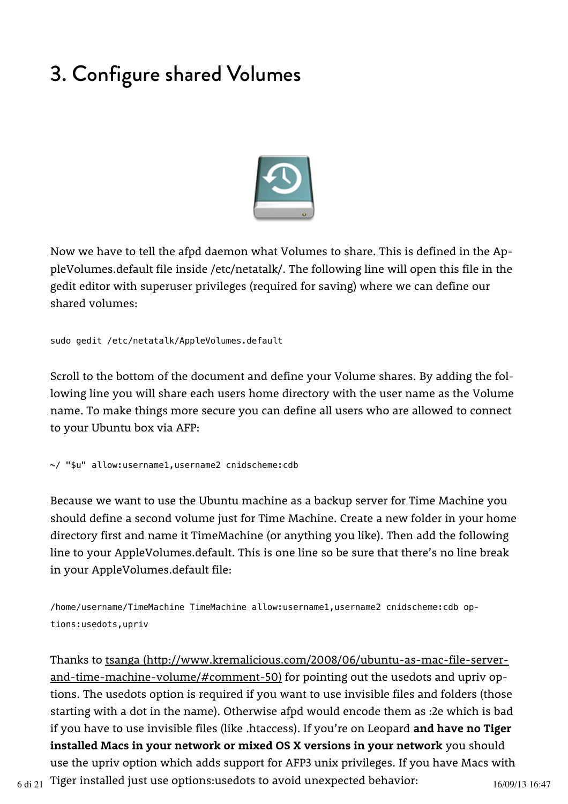# 3. Configure shared Volumes



Now we have to tell the afpd daemon what Volumes to share. This is defined in the AppleVolumes.default file inside /etc/netatalk/. The following line will open this file in the gedit editor with superuser privileges (required for saving) where we can define our shared volumes:

sudo gedit /etc/netatalk/AppleVolumes.default

Scroll to the bottom of the document and define your Volume shares. By adding the following line you will share each users home directory with the user name as the Volume name. To make things more secure you can define all users who are allowed to connect to your Ubuntu box via AFP:

~/ "\$u" allow:username1,username2 cnidscheme:cdb

Because we want to use the Ubuntu machine as a backup server for Time Machine you should define a second volume just for Time Machine. Create a new folder in your home directory first and name it TimeMachine (or anything you like). Then add the following line to your AppleVolumes.default. This is one line so be sure that there's no line break in your AppleVolumes.default file:

/home/username/TimeMachine TimeMachine allow:username1,username2 cnidscheme:cdb op‐ tions:usedots,upriv

Thanks to tsanga (http://www.kremalicious.com/2008/06/ubuntu-as-mac-file-serverand-time-machine-volume/#comment-50) for pointing out the usedots and upriv options. The usedots option is required if you want to use invisible files and folders (those starting with a dot in the name). Otherwise afpd would encode them as :2e which is bad if you have to use invisible files (like .htaccess). If you're on Leopard **and have no Tiger installed Macs in your network or mixed OS X versions in your network** you should use the upriv option which adds support for AFP3 unix privileges. If you have Macs with  $_{6\,\rm{di}\,21}\,$  Tiger installed just use options:usedots to avoid unexpected behavior:  $_{16/09/13\,16:47}$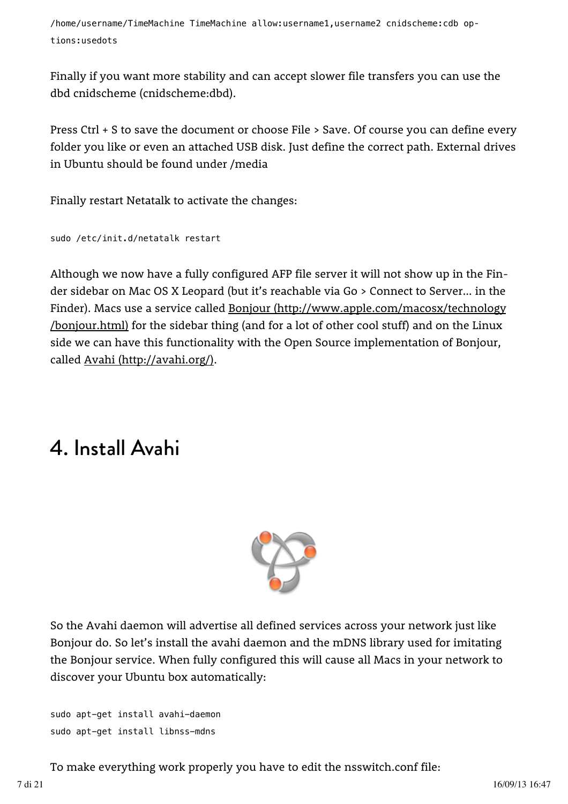/home/username/TimeMachine TimeMachine allow:username1,username2 cnidscheme:cdb op‐ tions:usedots

Finally if you want more stability and can accept slower file transfers you can use the dbd cnidscheme (cnidscheme:dbd).

Press Ctrl + S to save the document or choose File > Save. Of course you can define every folder you like or even an attached USB disk. Just define the correct path. External drives in Ubuntu should be found under /media

Finally restart Netatalk to activate the changes:

```
sudo /etc/init.d/netatalk restart
```
Although we now have a fully configured AFP file server it will not show up in the Finder sidebar on Mac OS X Leopard (but it's reachable via Go > Connect to Server… in the Finder). Macs use a service called <u>Bonjour (http://www.apple.com/macosx/technology</u> <u>/bonjour.html)</u> for the sidebar thing (and for a lot of other cool stuff) and on the Linux side we can have this functionality with the Open Source implementation of Bonjour, called <u>Avahi (http://avahi.org/)</u>.

### 4. Install Avahi



So the Avahi daemon will advertise all defined services across your network just like Bonjour do. So let's install the avahi daemon and the mDNS library used for imitating the Bonjour service. When fully configured this will cause all Macs in your network to discover your Ubuntu box automatically:

```
sudo apt-get install avahi-daemon
sudo apt-get install libnss-mdns
```
To make everything work properly you have to edit the nsswitch.conf file: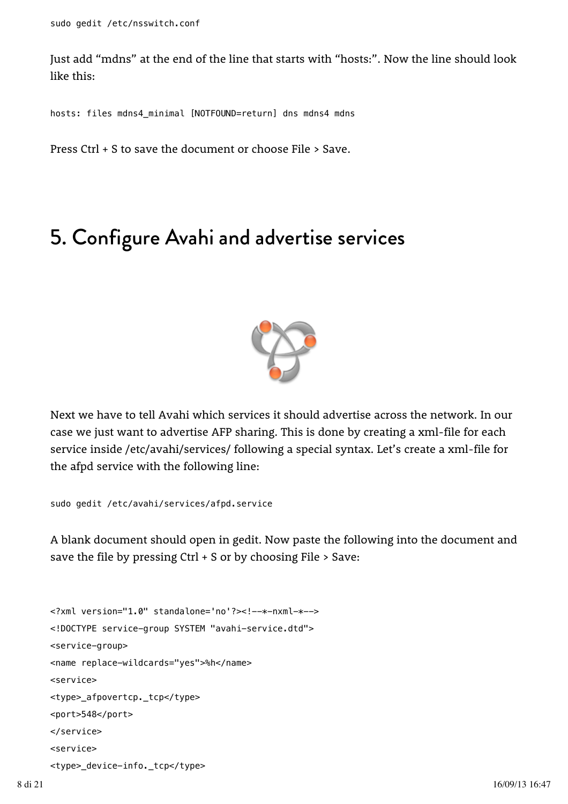Just add "mdns" at the end of the line that starts with "hosts:". Now the line should look like this:

hosts: files mdns4\_minimal [NOTFOUND=return] dns mdns4 mdns

Press Ctrl + S to save the document or choose File > Save.

#### 5. Configure Avahi and advertise services



Next we have to tell Avahi which services it should advertise across the network. In our case we just want to advertise AFP sharing. This is done by creating a xml-file for each service inside /etc/avahi/services/ following a special syntax. Let's create a xml-file for the afpd service with the following line:

sudo gedit /etc/avahi/services/afpd.service

A blank document should open in gedit. Now paste the following into the document and save the file by pressing Ctrl + S or by choosing File > Save:

```
<?xml version="1.0" standalone='no'?><!--*-nxml-*-->
<!DOCTYPE service-group SYSTEM "avahi-service.dtd">
<service-group>
<name replace-wildcards="yes">%h</name>
<service>
<type>_afpovertcp._tcp</type>
<port>548</port>
</service>
<service>
<type>_device-info._tcp</type>
```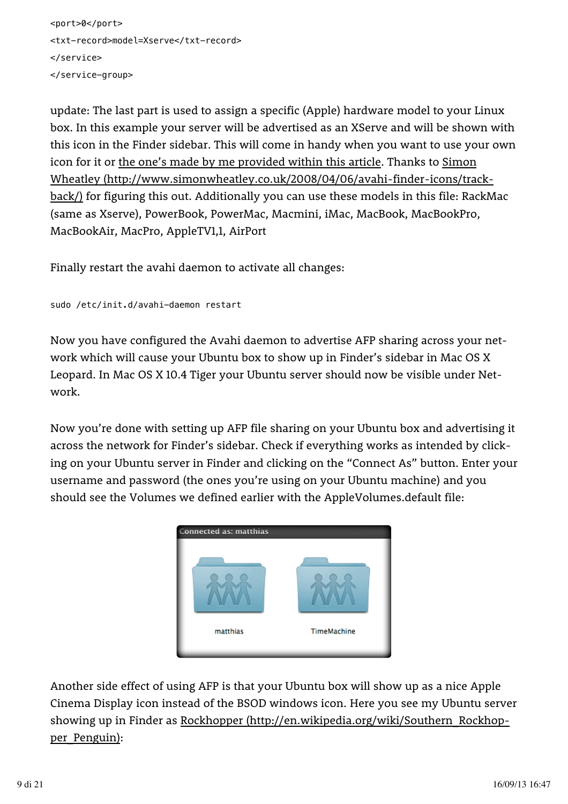```
<port>0</port>
<txt-record>model=Xserve</txt-record>
</service>
</service-group>
```
update: The last part is used to assign a specific (Apple) hardware model to your Linux box. In this example your server will be advertised as an XServe and will be shown with this icon in the Finder sidebar. This will come in handy when you want to use your own icon for it or <u>the one's made by me provided within this article</u>. Thanks to <u>Simon</u> <u>back/)</u> for figuring this out. Additionally you can use these models in this file: RackMac (same as Xserve), PowerBook, PowerMac, Macmini, iMac, MacBook, MacBookPro, MacBookAir, MacPro, AppleTV1,1, AirPort Wheatley (http://www.simonwheatley.co.uk/2008/04/06/avahi-finder-icons/track-

Finally restart the avahi daemon to activate all changes:

```
sudo /etc/init.d/avahi-daemon restart
```
Now you have configured the Avahi daemon to advertise AFP sharing across your network which will cause your Ubuntu box to show up in Finder's sidebar in Mac OS X Leopard. In Mac OS X 10.4 Tiger your Ubuntu server should now be visible under Network.

Now you're done with setting up AFP file sharing on your Ubuntu box and advertising it across the network for Finder's sidebar. Check if everything works as intended by clicking on your Ubuntu server in Finder and clicking on the "Connect As" button. Enter your username and password (the ones you're using on your Ubuntu machine) and you should see the Volumes we defined earlier with the AppleVolumes.default file:



Another side effect of using AFP is that your Ubuntu box will show up as a nice Apple Cinema Display icon instead of the BSOD windows icon. Here you see my Ubuntu server showing up in Finder as Rockhopper (http://en.wikipedia.org/wiki/Southern\_Rockhop-<u>per\_Penguin)</u>: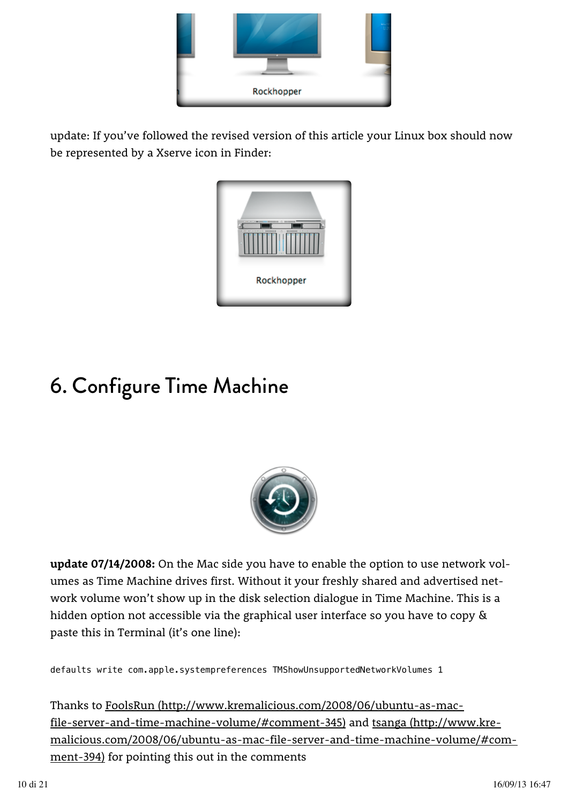

update: If you've followed the revised version of this article your Linux box should now be represented by a Xserve icon in Finder:



# 6. Configure Time Machine



**update 07/14/2008:** On the Mac side you have to enable the option to use network volumes as Time Machine drives first. Without it your freshly shared and advertised network volume won't show up in the disk selection dialogue in Time Machine. This is a hidden option not accessible via the graphical user interface so you have to copy & paste this in Terminal (it's one line):

defaults write com.apple.systempreferences TMShowUnsupportedNetworkVolumes 1

Thanks to FoolsRun (http://www.kremalicious.com/2008/06/ubuntu-as-mac-<u>file-server-and-time-machine-volume/#comment-345)</u> and <u>tsanga (http://www.kre-</u> ment-394) for pointing this out in the comments malicious.com/2008/06/ubuntu-as-mac-file-server-and-time-machine-volume/#com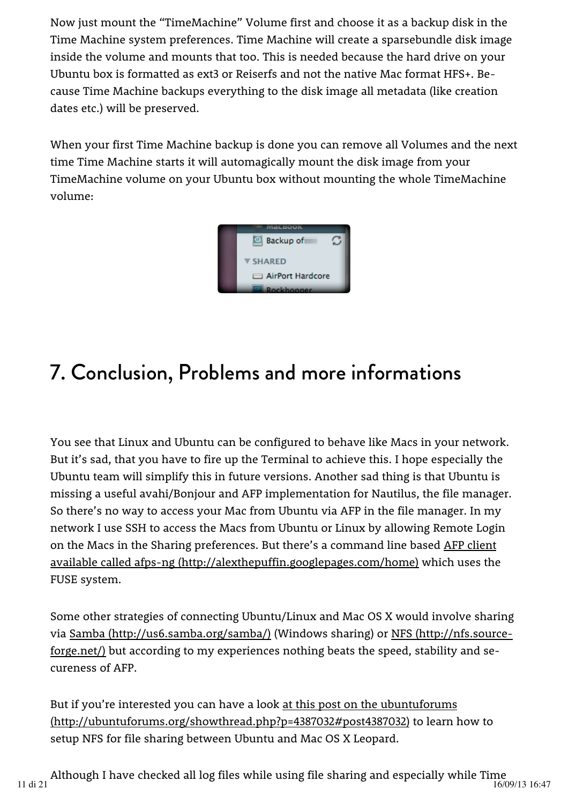Now just mount the "TimeMachine" Volume first and choose it as a backup disk in the Time Machine system preferences. Time Machine will create a sparsebundle disk image inside the volume and mounts that too. This is needed because the hard drive on your Ubuntu box is formatted as ext3 or Reiserfs and not the native Mac format HFS+. Because Time Machine backups everything to the disk image all metadata (like creation dates etc.) will be preserved.

When your first Time Machine backup is done you can remove all Volumes and the next time Time Machine starts it will automagically mount the disk image from your TimeMachine volume on your Ubuntu box without mounting the whole TimeMachine volume:



# 7. Conclusion, Problems and more informations

You see that Linux and Ubuntu can be configured to behave like Macs in your network. But it's sad, that you have to fire up the Terminal to achieve this. I hope especially the Ubuntu team will simplify this in future versions. Another sad thing is that Ubuntu is missing a useful avahi/Bonjour and AFP implementation for Nautilus, the file manager. So there's no way to access your Mac from Ubuntu via AFP in the file manager. In my network I use SSH to access the Macs from Ubuntu or Linux by allowing Remote Login on the Macs in the Sharing preferences. But there's a command line based <u>AFP client</u> available called afps-ng (http://alexthepuffin.googlepages.com/home) which uses the FUSE system.

Some other strategies of connecting Ubuntu/Linux and Mac OS X would involve sharing via <u>Samba (http://us6.samba.org/samba/)</u> (Windows sharing) or <u>NFS (http://nfs.source-</u> forge.net/) but according to my experiences nothing beats the speed, stability and secureness of AFP.

But if you're interested you can have a look at this post on the ubuntuforums (http://ubuntuforums.org/showthread.php?p=4387032#post4387032) to learn how to setup NFS for file sharing between Ubuntu and Mac OS X Leopard.

Although I have checked all log files while using file sharing and especially while Time 11 di 21  $\frac{1}{2}$  16/09/13 16:47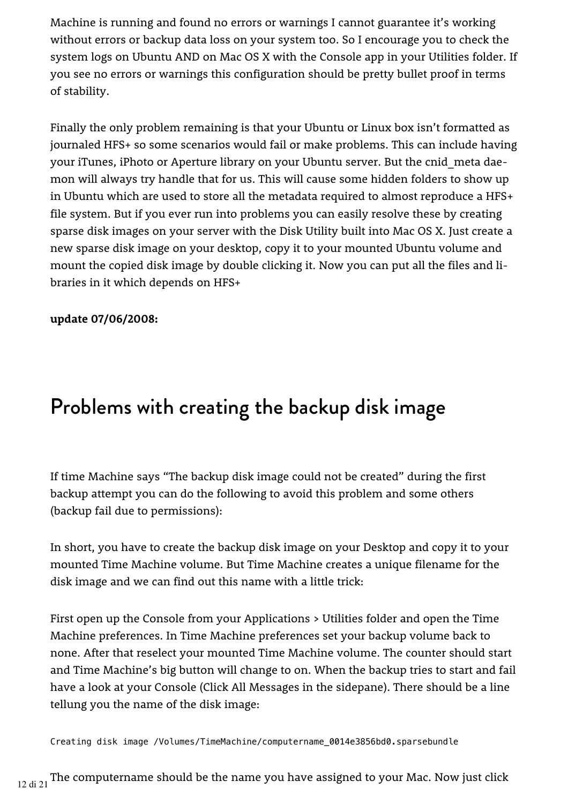Machine is running and found no errors or warnings I cannot guarantee it's working without errors or backup data loss on your system too. So I encourage you to check the system logs on Ubuntu AND on Mac OS X with the Console app in your Utilities folder. If you see no errors or warnings this configuration should be pretty bullet proof in terms of stability.

Finally the only problem remaining is that your Ubuntu or Linux box isn't formatted as journaled HFS+ so some scenarios would fail or make problems. This can include having your iTunes, iPhoto or Aperture library on your Ubuntu server. But the cnid\_meta daemon will always try handle that for us. This will cause some hidden folders to show up in Ubuntu which are used to store all the metadata required to almost reproduce a HFS+ file system. But if you ever run into problems you can easily resolve these by creating sparse disk images on your server with the Disk Utility built into Mac OS X. Just create a new sparse disk image on your desktop, copy it to your mounted Ubuntu volume and mount the copied disk image by double clicking it. Now you can put all the files and libraries in it which depends on HFS+

#### **update 07/06/2008:**

### Problems with creating the backup disk image

If time Machine says "The backup disk image could not be created" during the first backup attempt you can do the following to avoid this problem and some others (backup fail due to permissions):

In short, you have to create the backup disk image on your Desktop and copy it to your mounted Time Machine volume. But Time Machine creates a unique filename for the disk image and we can find out this name with a little trick:

First open up the Console from your Applications > Utilities folder and open the Time Machine preferences. In Time Machine preferences set your backup volume back to none. After that reselect your mounted Time Machine volume. The counter should start and Time Machine's big button will change to on. When the backup tries to start and fail have a look at your Console (Click All Messages in the sidepane). There should be a line tellung you the name of the disk image:

Creating disk image /Volumes/TimeMachine/computername\_0014e3856bd0.sparsebundle

 $12$  di 21 The computername should be the name you have assigned to your Mac. Now just click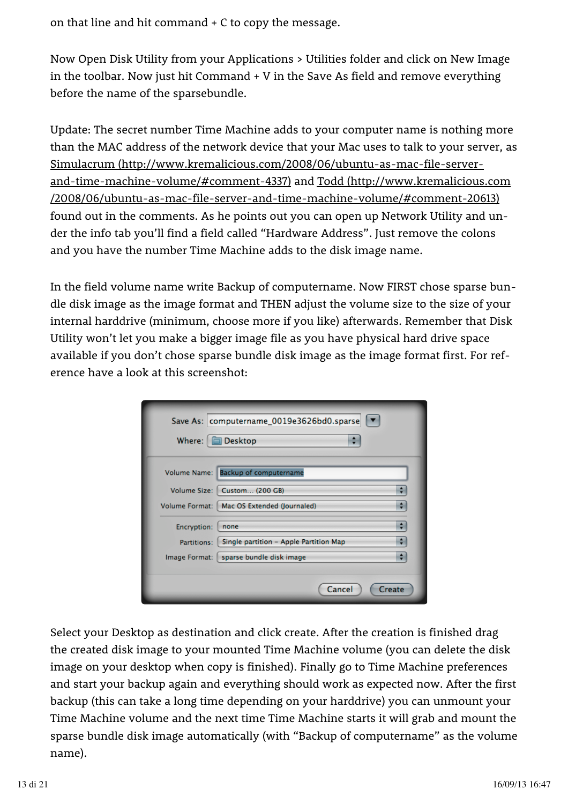on that line and hit command + C to copy the message.

Now Open Disk Utility from your Applications > Utilities folder and click on New Image in the toolbar. Now just hit Command + V in the Save As field and remove everything before the name of the sparsebundle.

Update: The secret number Time Machine adds to your computer name is nothing more than the MAC address of the network device that your Mac uses to talk to your server, as <u>and-time-machine-volume/#comment-4337)</u> and <u>Todd (http://www.kremalicious.com</u> found out in the comments. As he points out you can open up Network Utility and under the info tab you'll find a field called "Hardware Address". Just remove the colons and you have the number Time Machine adds to the disk image name. Simulacrum (http://www.kremalicious.com/2008/06/ubuntu-as-mac-file-server-/2008/06/ubuntu-as-mac-file-server-and-time-machine-volume/#comment-20613)

In the field volume name write Backup of computername. Now FIRST chose sparse bundle disk image as the image format and THEN adjust the volume size to the size of your internal harddrive (minimum, choose more if you like) afterwards. Remember that Disk Utility won't let you make a bigger image file as you have physical hard drive space available if you don't chose sparse bundle disk image as the image format first. For reference have a look at this screenshot:

| Save As: computername_0019e3626bd0.sparse<br><b>Desktop</b><br>Where: |                                        |        |
|-----------------------------------------------------------------------|----------------------------------------|--------|
|                                                                       | Volume Name: Backup of computername    |        |
| Volume Size:                                                          | Custom (200 GB)                        |        |
| <b>Volume Format:</b>                                                 | Mac OS Extended (Journaled)            | ٠      |
| Encryption:                                                           | none                                   | ÷      |
| Partitions:                                                           | Single partition - Apple Partition Map |        |
| Image Format:                                                         | sparse bundle disk image               | ٥      |
|                                                                       | Cancel                                 | Create |

Select your Desktop as destination and click create. After the creation is finished drag the created disk image to your mounted Time Machine volume (you can delete the disk image on your desktop when copy is finished). Finally go to Time Machine preferences and start your backup again and everything should work as expected now. After the first backup (this can take a long time depending on your harddrive) you can unmount your Time Machine volume and the next time Time Machine starts it will grab and mount the sparse bundle disk image automatically (with "Backup of computername" as the volume name).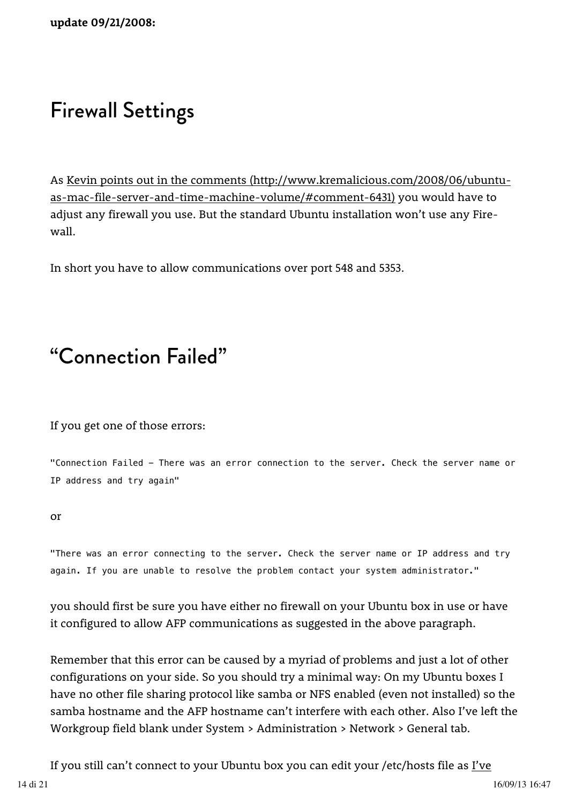#### Firewall Settings

As Kevin points out in the comments (http://www.kremalicious.com/2008/06/ubuntu-<u>as-mac-file-server-and-time-machine-volume/#comment-6431)</u> you would have to adjust any firewall you use. But the standard Ubuntu installation won't use any Firewall.

In short you have to allow communications over port 548 and 5353.

#### "Connection Failed"

If you get one of those errors:

"Connection Failed - There was an error connection to the server. Check the server name or IP address and try again"

or

"There was an error connecting to the server. Check the server name or IP address and try again. If you are unable to resolve the problem contact your system administrator."

you should first be sure you have either no firewall on your Ubuntu box in use or have it configured to allow AFP communications as suggested in the above paragraph.

Remember that this error can be caused by a myriad of problems and just a lot of other configurations on your side. So you should try a minimal way: On my Ubuntu boxes I have no other file sharing protocol like samba or NFS enabled (even not installed) so the samba hostname and the AFP hostname can't interfere with each other. Also I've left the Workgroup field blank under System > Administration > Network > General tab.

If you still can't connect to your Ubuntu box you can edit your /etc/hosts file as <u>I've</u> 14 di 21 16/09/13 16:47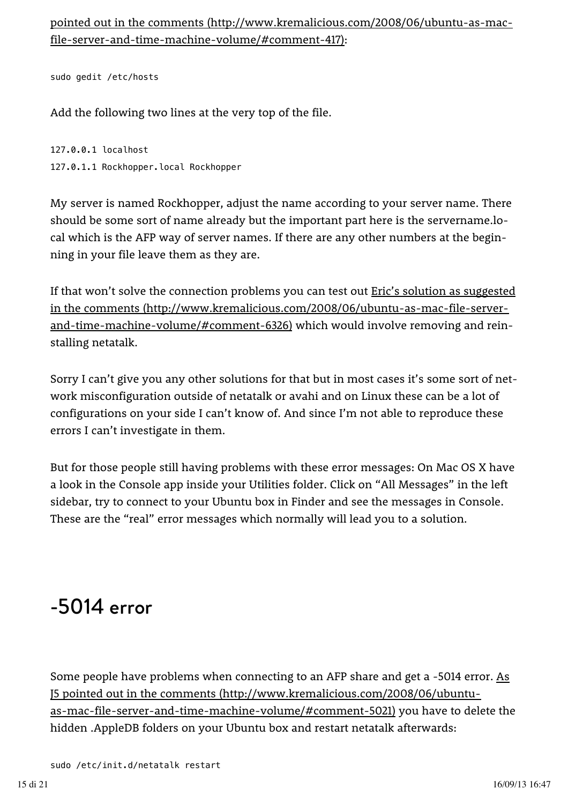: file-server-and-time-machine-volume/#comment-417) pointed out in the comments (http://www.kremalicious.com/2008/06/ubuntu-as-mac-

sudo gedit /etc/hosts

Add the following two lines at the very top of the file.

127.0.0.1 localhost 127.0.1.1 Rockhopper.local Rockhopper

My server is named Rockhopper, adjust the name according to your server name. There should be some sort of name already but the important part here is the servername.local which is the AFP way of server names. If there are any other numbers at the beginning in your file leave them as they are.

If that won't solve the connection problems you can test out **Eric's solution as suggested** and-time-machine-volume/#comment-6326) which would involve removing and reinstalling netatalk. in the comments (http://www.kremalicious.com/2008/06/ubuntu-as-mac-file-server-

Sorry I can't give you any other solutions for that but in most cases it's some sort of network misconfiguration outside of netatalk or avahi and on Linux these can be a lot of configurations on your side I can't know of. And since I'm not able to reproduce these errors I can't investigate in them.

But for those people still having problems with these error messages: On Mac OS X have a look in the Console app inside your Utilities folder. Click on "All Messages" in the left sidebar, try to connect to your Ubuntu box in Finder and see the messages in Console. These are the "real" error messages which normally will lead you to a solution.

### -5014 error

Some people have problems when connecting to an AFP share and get a -5014 error. As as-mac-file-server-and-time-machine-volume/#comment-5021) you have to delete the hidden .AppleDB folders on your Ubuntu box and restart netatalk afterwards: J5 pointed out in the comments (http://www.kremalicious.com/2008/06/ubuntu-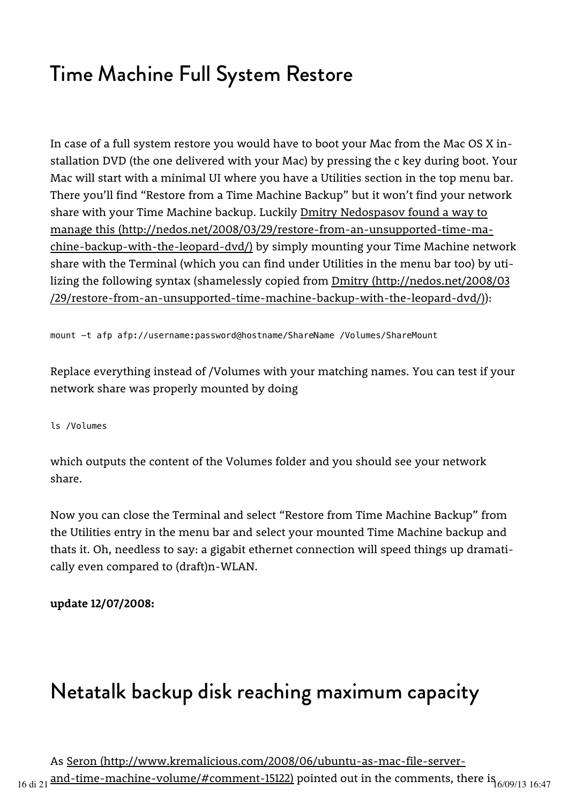## Time Machine Full System Restore

In case of a full system restore you would have to boot your Mac from the Mac OS X installation DVD (the one delivered with your Mac) by pressing the c key during boot. Your Mac will start with a minimal UI where you have a Utilities section in the top menu bar. There you'll find "Restore from a Time Machine Backup" but it won't find your network share with your Time Machine backup. Luckily <u>Dmitry Nedospasov found a way to</u> chine-backup-with-the-leopard-dvd/) by simply mounting your Time Machine network share with the Terminal (which you can find under Utilities in the menu bar too) by utilizing the following syntax (shamelessly copied from Dmitry (http://nedos.net/2008/03 ): /29/restore-from-an-unsupported-time-machine-backup-with-the-leopard-dvd/) manage this (http://nedos.net/2008/03/29/restore-from-an-unsupported-time-ma-

mount -t afp afp://username:password@hostname/ShareName /Volumes/ShareMount

Replace everything instead of /Volumes with your matching names. You can test if your network share was properly mounted by doing

ls /Volumes

which outputs the content of the Volumes folder and you should see your network share.

Now you can close the Terminal and select "Restore from Time Machine Backup" from the Utilities entry in the menu bar and select your mounted Time Machine backup and thats it. Oh, needless to say: a gigabit ethernet connection will speed things up dramatically even compared to (draft)n-WLAN.

**update 12/07/2008:**

### Netatalk backup disk reaching maximum capacity

As Seron (http://www.kremalicious.com/2008/06/ubuntu-as-mac-file-server- $_{16\,\rm{di}\,21}$  and-time-machine-volume/#comment-15122) pointed out in the comments, there is  $_{6/09/13\,16:47}$